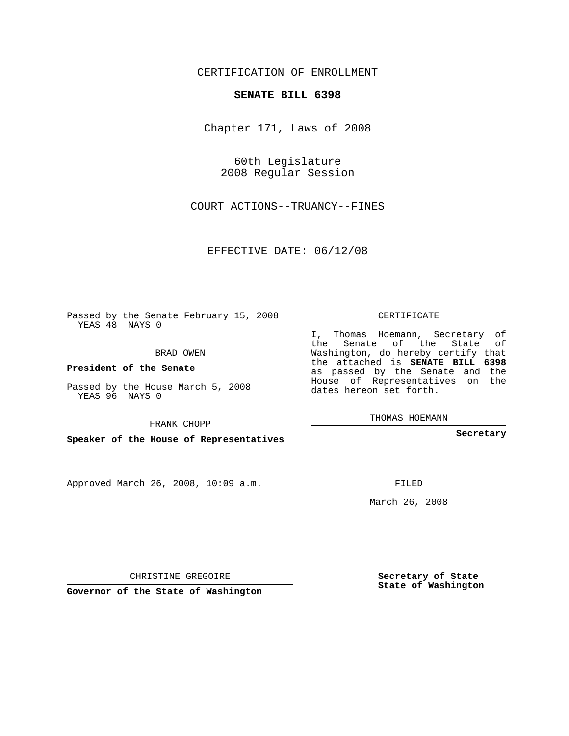CERTIFICATION OF ENROLLMENT

## **SENATE BILL 6398**

Chapter 171, Laws of 2008

60th Legislature 2008 Regular Session

COURT ACTIONS--TRUANCY--FINES

EFFECTIVE DATE: 06/12/08

Passed by the Senate February 15, 2008 YEAS 48 NAYS 0

BRAD OWEN

**President of the Senate**

Passed by the House March 5, 2008 YEAS 96 NAYS 0

FRANK CHOPP

**Speaker of the House of Representatives**

Approved March 26, 2008, 10:09 a.m.

CERTIFICATE

I, Thomas Hoemann, Secretary of the Senate of the State of Washington, do hereby certify that the attached is **SENATE BILL 6398** as passed by the Senate and the House of Representatives on the dates hereon set forth.

THOMAS HOEMANN

**Secretary**

FILED

March 26, 2008

**Secretary of State State of Washington**

CHRISTINE GREGOIRE

**Governor of the State of Washington**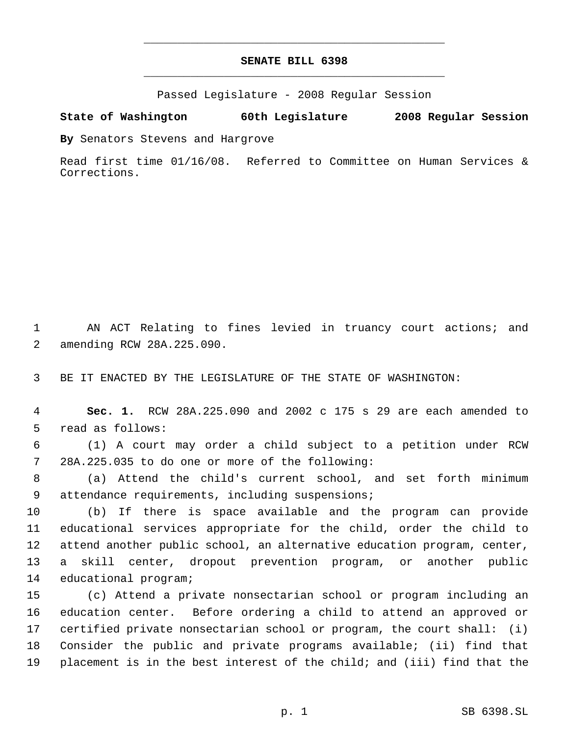## **SENATE BILL 6398** \_\_\_\_\_\_\_\_\_\_\_\_\_\_\_\_\_\_\_\_\_\_\_\_\_\_\_\_\_\_\_\_\_\_\_\_\_\_\_\_\_\_\_\_\_

\_\_\_\_\_\_\_\_\_\_\_\_\_\_\_\_\_\_\_\_\_\_\_\_\_\_\_\_\_\_\_\_\_\_\_\_\_\_\_\_\_\_\_\_\_

Passed Legislature - 2008 Regular Session

## **State of Washington 60th Legislature 2008 Regular Session**

**By** Senators Stevens and Hargrove

Read first time 01/16/08. Referred to Committee on Human Services & Corrections.

 AN ACT Relating to fines levied in truancy court actions; and amending RCW 28A.225.090.

BE IT ENACTED BY THE LEGISLATURE OF THE STATE OF WASHINGTON:

 **Sec. 1.** RCW 28A.225.090 and 2002 c 175 s 29 are each amended to read as follows:

 (1) A court may order a child subject to a petition under RCW 28A.225.035 to do one or more of the following:

 (a) Attend the child's current school, and set forth minimum 9 attendance requirements, including suspensions;

 (b) If there is space available and the program can provide educational services appropriate for the child, order the child to attend another public school, an alternative education program, center, a skill center, dropout prevention program, or another public educational program;

 (c) Attend a private nonsectarian school or program including an education center. Before ordering a child to attend an approved or certified private nonsectarian school or program, the court shall: (i) Consider the public and private programs available; (ii) find that placement is in the best interest of the child; and (iii) find that the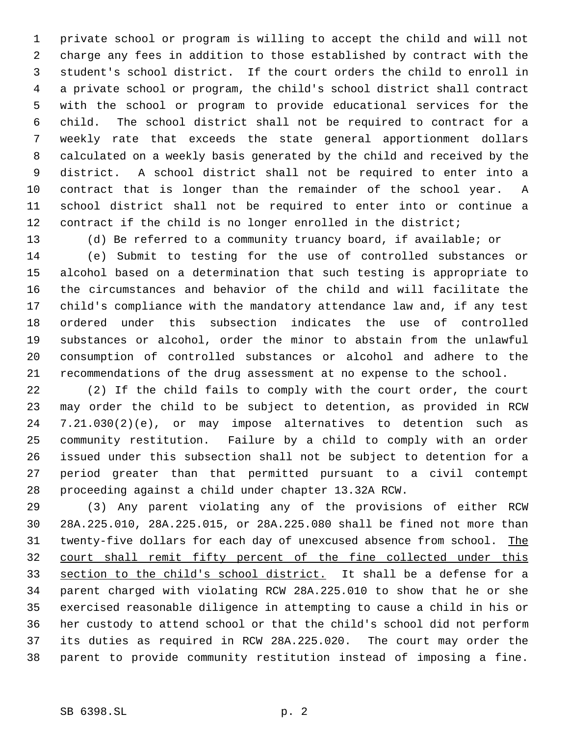private school or program is willing to accept the child and will not charge any fees in addition to those established by contract with the student's school district. If the court orders the child to enroll in a private school or program, the child's school district shall contract with the school or program to provide educational services for the child. The school district shall not be required to contract for a weekly rate that exceeds the state general apportionment dollars calculated on a weekly basis generated by the child and received by the district. A school district shall not be required to enter into a contract that is longer than the remainder of the school year. A school district shall not be required to enter into or continue a contract if the child is no longer enrolled in the district;

 (d) Be referred to a community truancy board, if available; or (e) Submit to testing for the use of controlled substances or alcohol based on a determination that such testing is appropriate to the circumstances and behavior of the child and will facilitate the child's compliance with the mandatory attendance law and, if any test ordered under this subsection indicates the use of controlled substances or alcohol, order the minor to abstain from the unlawful consumption of controlled substances or alcohol and adhere to the recommendations of the drug assessment at no expense to the school.

 (2) If the child fails to comply with the court order, the court may order the child to be subject to detention, as provided in RCW 7.21.030(2)(e), or may impose alternatives to detention such as community restitution. Failure by a child to comply with an order issued under this subsection shall not be subject to detention for a period greater than that permitted pursuant to a civil contempt proceeding against a child under chapter 13.32A RCW.

 (3) Any parent violating any of the provisions of either RCW 28A.225.010, 28A.225.015, or 28A.225.080 shall be fined not more than 31 twenty-five dollars for each day of unexcused absence from school. The court shall remit fifty percent of the fine collected under this section to the child's school district. It shall be a defense for a parent charged with violating RCW 28A.225.010 to show that he or she exercised reasonable diligence in attempting to cause a child in his or her custody to attend school or that the child's school did not perform its duties as required in RCW 28A.225.020. The court may order the parent to provide community restitution instead of imposing a fine.